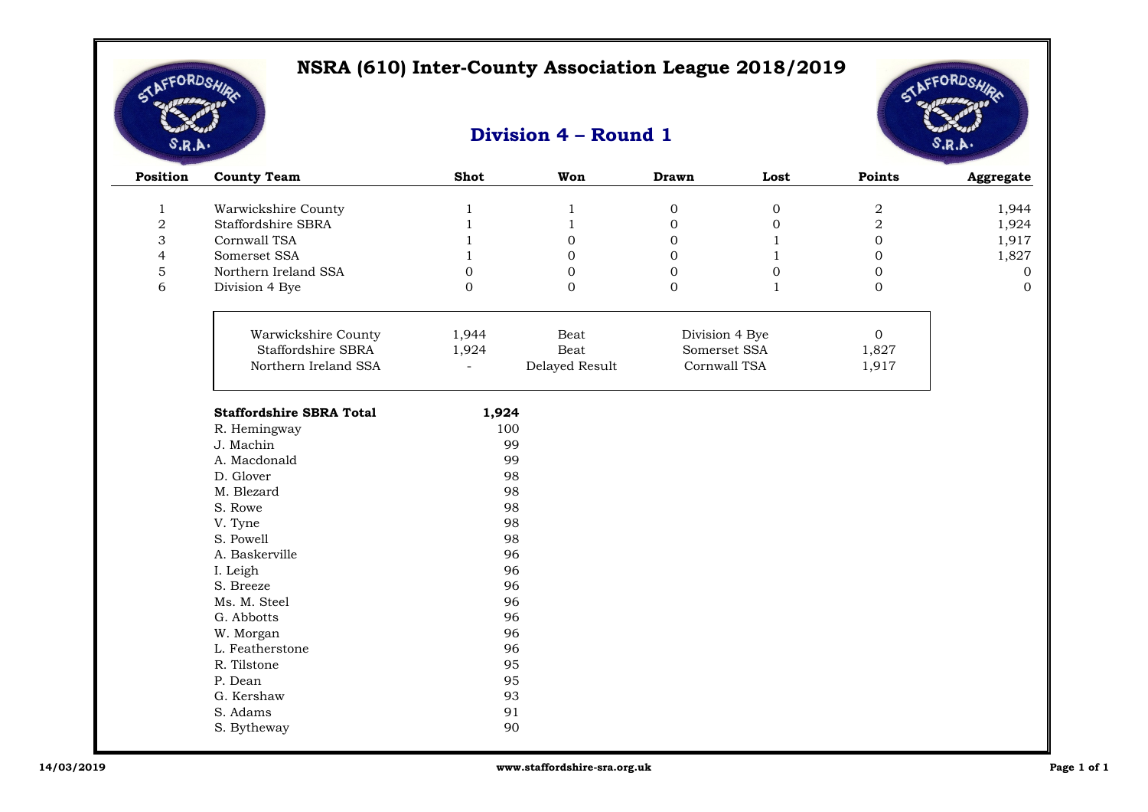

 $\overline{\phantom{a}}$ 

# LEFORDSA

| Position                       | <b>County Team</b>              | <b>Shot</b>                  | Won                          | <b>Drawn</b>                    | Lost                  | Points                  | Aggregate      |
|--------------------------------|---------------------------------|------------------------------|------------------------------|---------------------------------|-----------------------|-------------------------|----------------|
|                                | Warwickshire County             |                              |                              |                                 |                       |                         |                |
| $\mathbf{1}$<br>$\overline{2}$ | Staffordshire SBRA              | $\mathbf{1}$<br>$\mathbf{1}$ | $\mathbf{1}$<br>$\mathbf{1}$ | $\boldsymbol{0}$<br>$\mathbf 0$ | $\boldsymbol{0}$<br>0 | $\,2$<br>$\overline{2}$ | 1,944<br>1,924 |
| 3                              | Cornwall TSA                    |                              | $\mathbf 0$                  | 0                               | $\mathbf{1}$          | $\mathbf 0$             | 1,917          |
| $\overline{4}$                 | Somerset SSA                    | $\mathbf{1}$                 | $\mathbf{0}$                 | $\mathbf{0}$                    | $\mathbf{1}$          | $\mathbf 0$             | 1,827          |
| $\mathbf 5$                    | Northern Ireland SSA            | $\boldsymbol{0}$             | $\mathbf{0}$                 | $\mathbf{0}$                    | $\mathbf 0$           | $\mathbf{0}$            | $\overline{0}$ |
| 6                              | Division 4 Bye                  | $\boldsymbol{0}$             | $\mathbf 0$                  | $\mathbf 0$                     | $\mathbf{1}$          | $\mathbf 0$             | $\mathbf{0}$   |
|                                |                                 |                              |                              |                                 |                       |                         |                |
|                                |                                 |                              |                              |                                 |                       |                         |                |
|                                | Warwickshire County             | 1,944                        | Beat                         | Division 4 Bye                  |                       | $\overline{0}$          |                |
|                                | Staffordshire SBRA              | 1,924                        | Beat                         | Somerset SSA                    |                       | 1,827                   |                |
|                                | Northern Ireland SSA            | $\overline{\phantom{0}}$     | Delayed Result               | Cornwall TSA                    |                       | 1,917                   |                |
|                                | <b>Staffordshire SBRA Total</b> | 1,924                        |                              |                                 |                       |                         |                |
|                                | R. Hemingway                    |                              | 100                          |                                 |                       |                         |                |
|                                | J. Machin                       |                              | 99                           |                                 |                       |                         |                |
|                                | A. Macdonald                    |                              | 99                           |                                 |                       |                         |                |
|                                | D. Glover                       |                              | 98                           |                                 |                       |                         |                |
|                                | M. Blezard                      |                              | 98                           |                                 |                       |                         |                |
|                                | S. Rowe                         |                              | 98                           |                                 |                       |                         |                |
|                                | V. Tyne                         |                              | 98                           |                                 |                       |                         |                |
|                                | S. Powell                       |                              | 98                           |                                 |                       |                         |                |
|                                | A. Baskerville                  |                              | 96                           |                                 |                       |                         |                |
|                                | I. Leigh                        |                              | 96                           |                                 |                       |                         |                |
|                                | S. Breeze                       |                              | 96                           |                                 |                       |                         |                |
|                                | Ms. M. Steel                    |                              | 96                           |                                 |                       |                         |                |
|                                | G. Abbotts                      |                              | 96                           |                                 |                       |                         |                |
|                                | W. Morgan                       |                              | 96                           |                                 |                       |                         |                |
|                                | L. Featherstone                 |                              | 96                           |                                 |                       |                         |                |
|                                | R. Tilstone                     |                              | 95                           |                                 |                       |                         |                |
|                                | P. Dean                         |                              | 95                           |                                 |                       |                         |                |
|                                | G. Kershaw                      |                              | 93                           |                                 |                       |                         |                |
|                                | S. Adams                        |                              | 91                           |                                 |                       |                         |                |
|                                | S. Bytheway                     |                              | 90                           |                                 |                       |                         |                |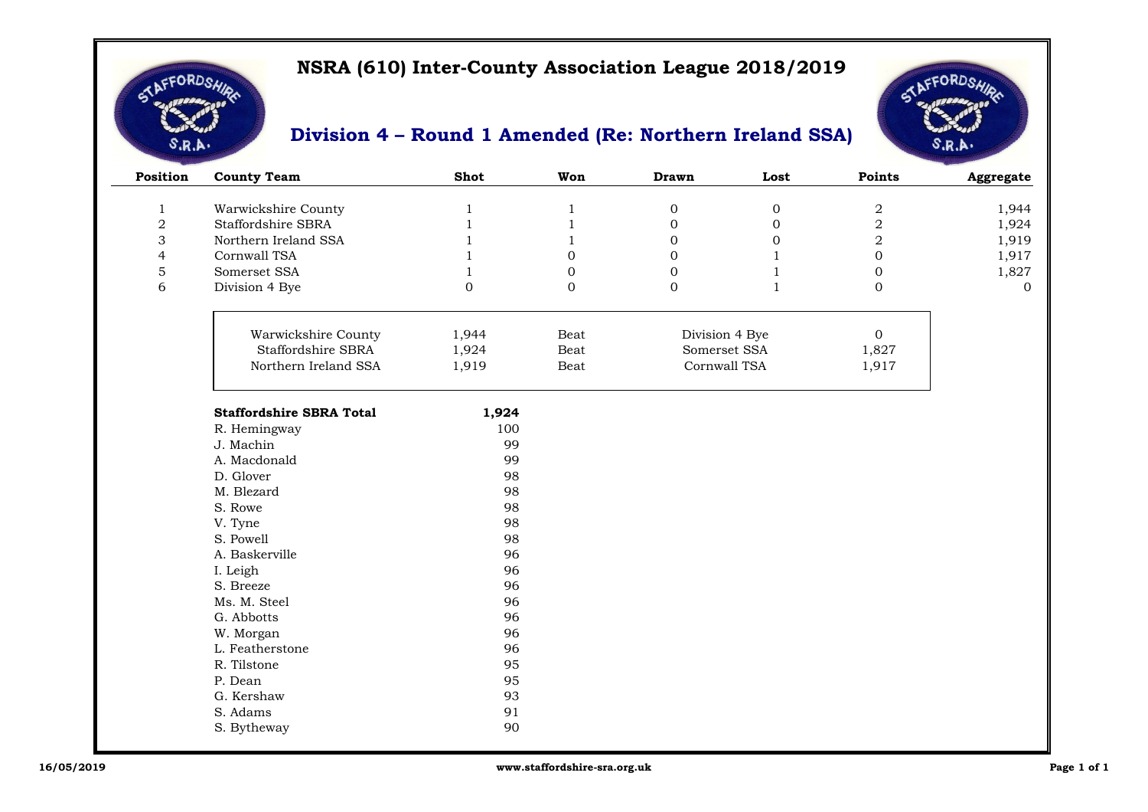

 $\overline{\phantom{a}}$ 

#### **Division 4 – Round 1 Amended (Re: Northern Ireland SSA)**



| Position       | <b>County Team</b>              | <b>Shot</b>      | Won          | <b>Drawn</b>   | Lost         | <b>Points</b>    | Aggregate      |
|----------------|---------------------------------|------------------|--------------|----------------|--------------|------------------|----------------|
| 1              | Warwickshire County             | 1                | 1            | $\overline{0}$ | $\mathbf 0$  | $\boldsymbol{2}$ | 1,944          |
| $\overline{2}$ | Staffordshire SBRA              |                  | 1            | $\overline{0}$ | $\mathbf{0}$ | $\sqrt{2}$       | 1,924          |
| 3              | Northern Ireland SSA            |                  |              | $\overline{0}$ | $\mathbf{0}$ | $\overline{2}$   | 1,919          |
| 4              | Cornwall TSA                    |                  | $\Omega$     | $\Omega$       | -1           | $\overline{0}$   | 1,917          |
| 5              | Somerset SSA                    |                  | $\mathbf{0}$ | $\overline{0}$ |              | $\overline{0}$   | 1,827          |
| 6              | Division 4 Bye                  | $\boldsymbol{0}$ | $\mathbf{0}$ | $\mathbf{0}$   | $\mathbf{1}$ | $\mathbf{0}$     | $\overline{0}$ |
|                |                                 |                  |              |                |              |                  |                |
|                | Warwickshire County             | 1,944            | Beat         | Division 4 Bye |              | $\overline{0}$   |                |
|                | Staffordshire SBRA              | 1,924            | Beat         | Somerset SSA   |              | 1,827            |                |
|                | Northern Ireland SSA            | 1,919            | Beat         | Cornwall TSA   |              | 1,917            |                |
|                | <b>Staffordshire SBRA Total</b> | 1,924            |              |                |              |                  |                |
|                | R. Hemingway                    | 100              |              |                |              |                  |                |
|                | J. Machin                       | 99               |              |                |              |                  |                |
|                | A. Macdonald                    | 99               |              |                |              |                  |                |
|                | D. Glover                       | 98               |              |                |              |                  |                |
|                | M. Blezard                      | 98               |              |                |              |                  |                |
|                | S. Rowe                         | 98               |              |                |              |                  |                |
|                | V. Tyne                         | 98               |              |                |              |                  |                |
|                | S. Powell                       | 98               |              |                |              |                  |                |
|                | A. Baskerville                  | 96               |              |                |              |                  |                |
|                | I. Leigh                        | 96               |              |                |              |                  |                |
|                | S. Breeze                       | 96               |              |                |              |                  |                |
|                | Ms. M. Steel                    | 96               |              |                |              |                  |                |
|                | G. Abbotts                      | 96               |              |                |              |                  |                |
|                | W. Morgan                       | 96               |              |                |              |                  |                |
|                | L. Featherstone                 | 96               |              |                |              |                  |                |
|                | R. Tilstone                     | 95               |              |                |              |                  |                |

90

P. Dean 95<br>
G. Kershaw 93 G. Kershaw 93<br>S. Adams 91

S. Adams

S. Bytheway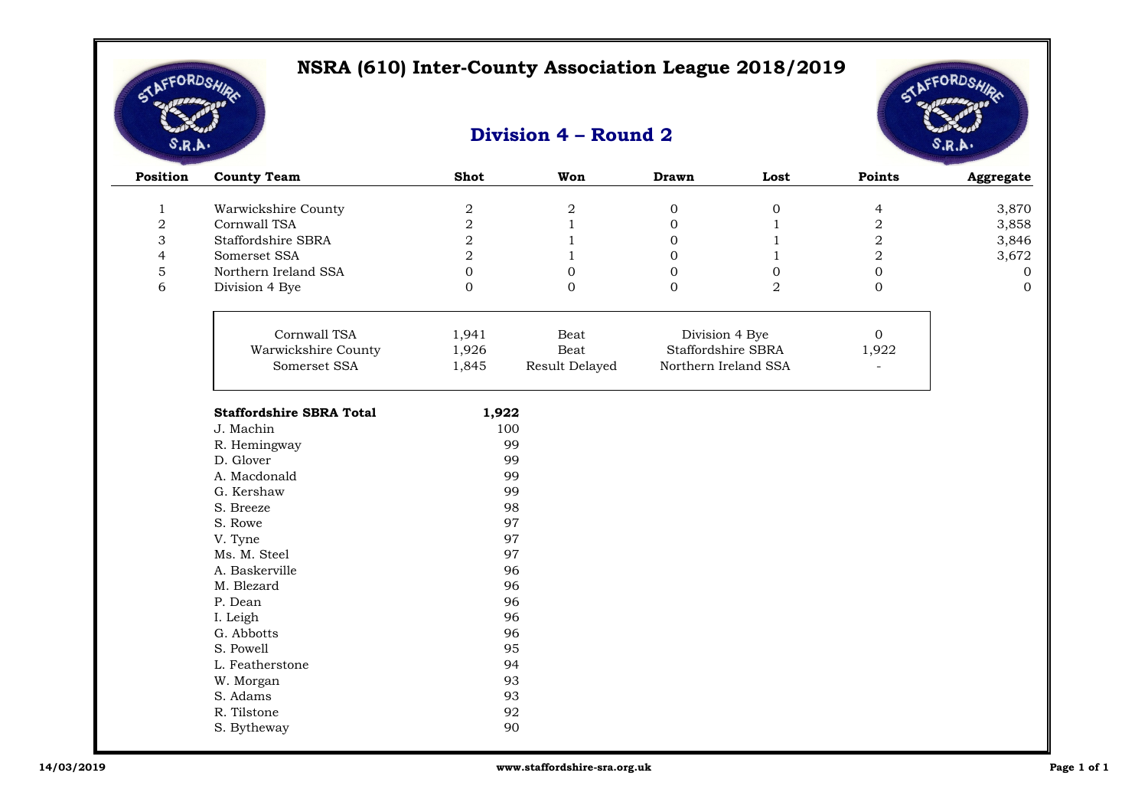

# AFFORDSA

| Position       | <b>County Team</b>              | <b>Shot</b>      | Won            | <b>Drawn</b> | Lost                 | Points                  | Aggregate    |
|----------------|---------------------------------|------------------|----------------|--------------|----------------------|-------------------------|--------------|
| $\mathbf{1}$   | Warwickshire County             | $\sqrt{2}$       | $\sqrt{2}$     | $\mathbf 0$  | $\boldsymbol{0}$     | 4                       | 3,870        |
| $\overline{2}$ | Cornwall TSA                    | $\sqrt{2}$       | $\mathbf{1}$   | $\mathbf{0}$ | $\mathbf{1}$         | 2                       | 3,858        |
| 3              | Staffordshire SBRA              | $\overline{2}$   | $\mathbf{1}$   | $\mathbf{0}$ | $\mathbf{1}$         | $\overline{2}$          | 3,846        |
| $\overline{4}$ | Somerset SSA                    | $\,2$            | 1              | $\mathbf{0}$ | $\mathbf{1}$         | $\overline{\mathbf{2}}$ | 3,672        |
| $\mathbf 5$    | Northern Ireland SSA            | $\boldsymbol{0}$ | $\mathbf{0}$   | $\mathbf{0}$ | 0                    | $\boldsymbol{0}$        | $\mathbf{0}$ |
| 6              | Division 4 Bye                  | $\mathbf{0}$     | $\Omega$       | $\Omega$     | $\overline{a}$       | $\mathbf{0}$            | $\Omega$     |
|                | Cornwall TSA                    | 1,941            | Beat           |              | Division 4 Bye       | $\overline{0}$          |              |
|                | Warwickshire County             | 1,926            | Beat           |              | Staffordshire SBRA   | 1,922                   |              |
|                | Somerset SSA                    | 1,845            | Result Delayed |              | Northern Ireland SSA | $\omega$                |              |
|                | <b>Staffordshire SBRA Total</b> | 1,922            |                |              |                      |                         |              |
|                | J. Machin                       |                  | 100            |              |                      |                         |              |
|                | R. Hemingway                    |                  | 99             |              |                      |                         |              |
|                | D. Glover                       |                  | 99             |              |                      |                         |              |
|                | A. Macdonald                    |                  | 99             |              |                      |                         |              |
|                | G. Kershaw                      |                  | 99             |              |                      |                         |              |
|                | S. Breeze                       |                  | 98             |              |                      |                         |              |
|                | S. Rowe                         |                  | 97             |              |                      |                         |              |
|                | V. Tyne                         |                  | 97             |              |                      |                         |              |
|                | Ms. M. Steel                    |                  | 97             |              |                      |                         |              |
|                | A. Baskerville                  |                  | 96             |              |                      |                         |              |
|                | M. Blezard                      |                  | 96             |              |                      |                         |              |
|                | P. Dean                         |                  | 96             |              |                      |                         |              |
|                | I. Leigh                        |                  | 96             |              |                      |                         |              |
|                | G. Abbotts                      |                  | 96             |              |                      |                         |              |
|                | S. Powell                       |                  | 95             |              |                      |                         |              |
|                | L. Featherstone                 |                  | 94             |              |                      |                         |              |
|                | W. Morgan                       |                  | 93             |              |                      |                         |              |
|                | S. Adams                        |                  | 93             |              |                      |                         |              |
|                | R. Tilstone                     |                  | 92             |              |                      |                         |              |
|                | S. Bytheway                     |                  | 90             |              |                      |                         |              |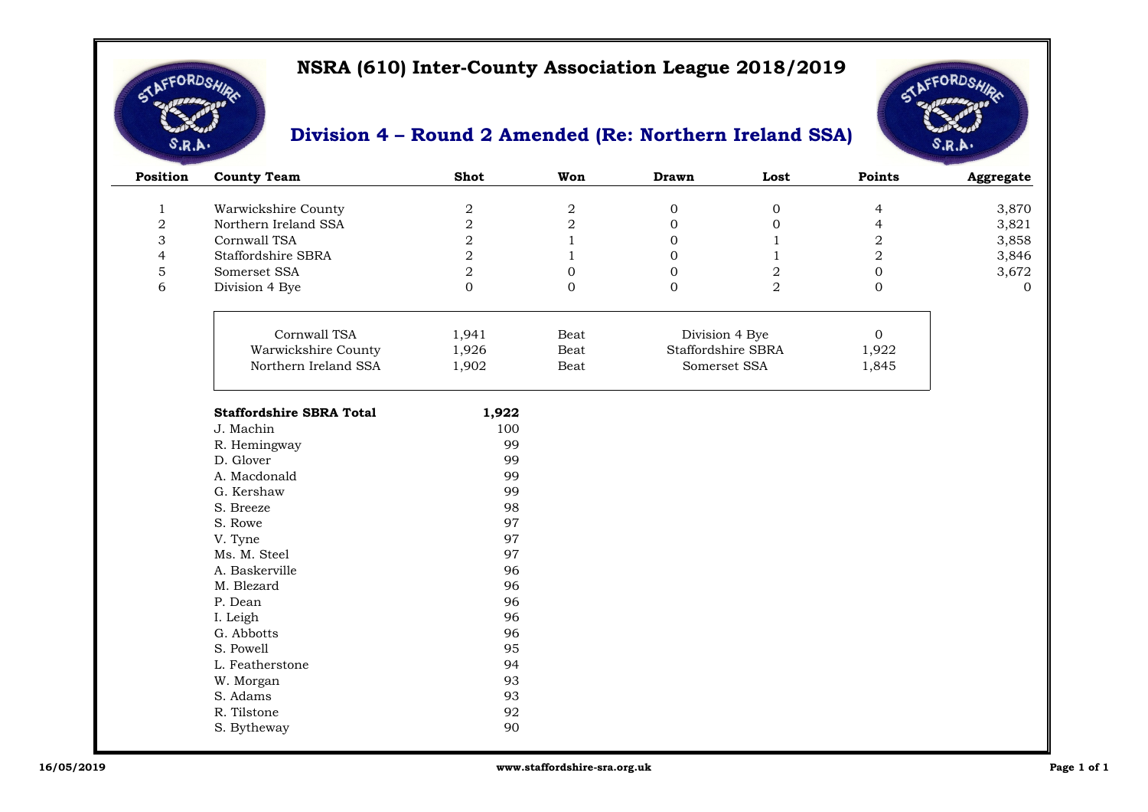

#### **Division 4 – Round 2 Amended (Re: Northern Ireland SSA)**



| Position       | <b>County Team</b>              | Shot           | Won              | <b>Drawn</b> | Lost               | <b>Points</b> | Aggregate |
|----------------|---------------------------------|----------------|------------------|--------------|--------------------|---------------|-----------|
| 1              | Warwickshire County             | $\mathbf 2$    | $\boldsymbol{2}$ | 0            | $\overline{0}$     | 4             | 3,870     |
|                |                                 |                |                  |              |                    |               |           |
| $\overline{2}$ | Northern Ireland SSA            | $\overline{2}$ | $\overline{2}$   | 0            |                    | 4             | 3,821     |
| 3              | Cornwall TSA                    | 2              |                  | 0            |                    | 2             | 3,858     |
| 4              | Staffordshire SBRA              | 2              |                  | 0            |                    | 2             | 3,846     |
| 5              | Somerset SSA                    | 2              |                  |              | 2                  | 0             | 3,672     |
| 6              | Division 4 Bye                  | 0              | $\overline{0}$   | 0            | 2                  | 0             | $\Omega$  |
|                |                                 |                |                  |              |                    |               |           |
|                | Cornwall TSA                    | 1,941          | Beat             |              | Division 4 Bye     | $\Omega$      |           |
|                | Warwickshire County             | 1,926          | Beat             |              | Staffordshire SBRA | 1,922         |           |
|                | Northern Ireland SSA            | 1,902          | Beat             |              | Somerset SSA       | 1,845         |           |
|                |                                 |                |                  |              |                    |               |           |
|                | <b>Staffordshire SBRA Total</b> | 1,922          |                  |              |                    |               |           |
|                | J. Machin                       | 100            |                  |              |                    |               |           |
|                | R. Hemingway                    | 99             |                  |              |                    |               |           |
|                | D. Glover                       | 99             |                  |              |                    |               |           |
|                | A. Macdonald                    | 99             |                  |              |                    |               |           |
|                | G. Kershaw                      | 99             |                  |              |                    |               |           |
|                | S. Breeze                       | 98             |                  |              |                    |               |           |
|                | S. Rowe                         | 97             |                  |              |                    |               |           |
|                | V. Tyne                         | 97             |                  |              |                    |               |           |

Ms. M. Steel 97 A. Baskerville 96

P. Dean 96 I. Leigh 96 G. Abbotts 96 S. Powell 95 L. Featherstone 94 W. Morgan 93<br>
S. Adams 93

R. Tilstone 92

S. Adams

S. Bytheway

M. Blezard

96

90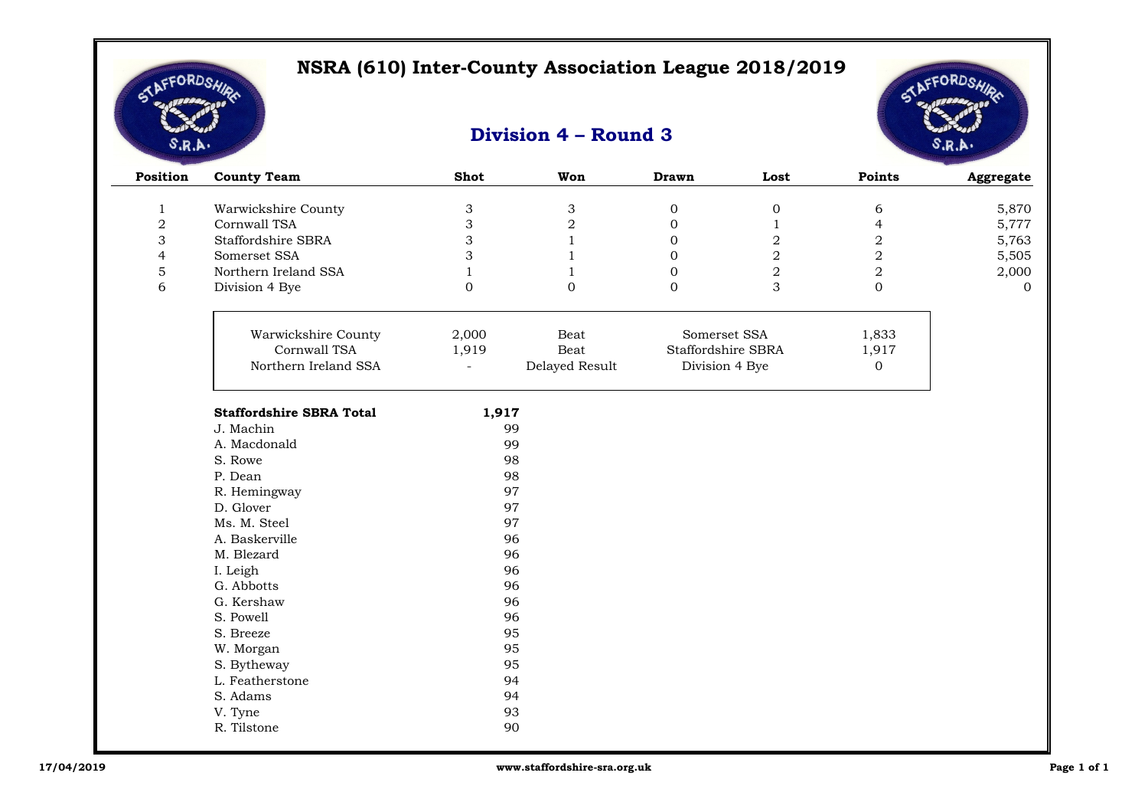

# AFFORDSA

| Position       | <b>County Team</b>              | <b>Shot</b>               | Won            | <b>Drawn</b>     | Lost               | Points         | Aggregate |
|----------------|---------------------------------|---------------------------|----------------|------------------|--------------------|----------------|-----------|
| $\mathbf{1}$   | Warwickshire County             | $\ensuremath{\mathsf{3}}$ | 3              | $\boldsymbol{0}$ | $\boldsymbol{0}$   | 6              | 5,870     |
| $\overline{2}$ | Cornwall TSA                    | 3                         | $\overline{2}$ | $\mathbf{0}$     | $\mathbf{1}$       | $\overline{4}$ | 5,777     |
| 3              | Staffordshire SBRA              | 3                         | $\mathbf{1}$   | $\Omega$         | $\overline{2}$     | $\overline{2}$ | 5,763     |
| $\overline{4}$ | Somerset SSA                    | 3                         | $\mathbf{1}$   | $\mathbf{0}$     | $\,2$              | $\overline{2}$ | 5,505     |
| 5              | Northern Ireland SSA            | $\mathbf{1}$              | $\mathbf{1}$   | $\mathbf{0}$     | $\,2$              | $\overline{2}$ | 2,000     |
| 6              | Division 4 Bye                  | $\mathbf 0$               | $\Omega$       | $\overline{O}$   | 3                  | $\overline{0}$ | $\Omega$  |
|                | Warwickshire County             | 2,000                     | Beat           |                  | Somerset SSA       | 1,833          |           |
|                | Cornwall TSA                    | 1,919                     | Beat           |                  | Staffordshire SBRA | 1,917          |           |
|                | Northern Ireland SSA            | ÷,                        | Delayed Result |                  | Division 4 Bye     | $\Omega$       |           |
|                | <b>Staffordshire SBRA Total</b> | 1,917                     |                |                  |                    |                |           |
|                | J. Machin                       |                           | 99             |                  |                    |                |           |
|                | A. Macdonald                    |                           | 99             |                  |                    |                |           |
|                | S. Rowe                         |                           | 98             |                  |                    |                |           |
|                | P. Dean                         |                           | 98             |                  |                    |                |           |
|                | R. Hemingway                    |                           | 97             |                  |                    |                |           |
|                | D. Glover                       |                           | 97             |                  |                    |                |           |
|                | Ms. M. Steel                    |                           | 97             |                  |                    |                |           |
|                | A. Baskerville                  |                           | 96             |                  |                    |                |           |
|                | M. Blezard                      |                           | 96             |                  |                    |                |           |
|                | I. Leigh                        |                           | 96             |                  |                    |                |           |
|                | G. Abbotts                      |                           | 96             |                  |                    |                |           |
|                | G. Kershaw                      |                           | 96             |                  |                    |                |           |
|                | S. Powell                       |                           | 96             |                  |                    |                |           |
|                | S. Breeze                       |                           | 95             |                  |                    |                |           |
|                | W. Morgan                       |                           | 95             |                  |                    |                |           |
|                | S. Bytheway                     |                           | 95             |                  |                    |                |           |
|                | L. Featherstone                 |                           | 94             |                  |                    |                |           |
|                | S. Adams                        |                           | 94             |                  |                    |                |           |
|                | V. Tyne                         |                           | 93             |                  |                    |                |           |
|                | R. Tilstone                     |                           | 90             |                  |                    |                |           |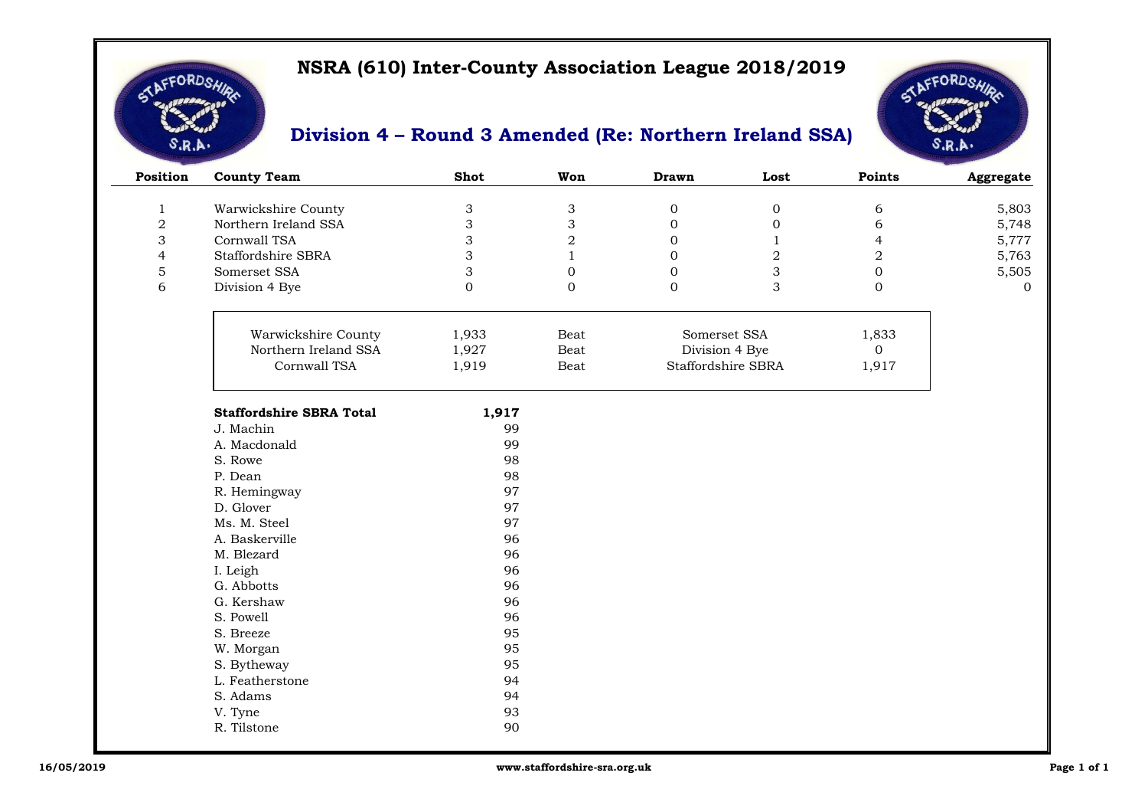

### **Division 4 – Round 3 Amended (Re: Northern Ireland SSA)**



| Position       | <b>County Team</b>              | <b>Shot</b>               | Won                       | <b>Drawn</b>   | Lost               | Points           | Aggregate      |
|----------------|---------------------------------|---------------------------|---------------------------|----------------|--------------------|------------------|----------------|
| $\mathbf{1}$   | Warwickshire County             | $\ensuremath{\mathsf{3}}$ | $\ensuremath{\mathsf{3}}$ | $\overline{0}$ | $\boldsymbol{0}$   | 6                | 5,803          |
| $\mathbf 2$    | Northern Ireland SSA            | 3                         | 3                         | $\mathbf{0}$   | $\mathbf 0$        | 6                | 5,748          |
| 3              | Cornwall TSA                    | 3                         | $\sqrt{2}$                | $\overline{0}$ | $\mathbf{1}$       | 4                | 5,777          |
| $\overline{4}$ | Staffordshire SBRA              | 3                         | $\mathbf{1}$              | $\mathbf{0}$   | $\overline{2}$     | $\sqrt{2}$       | 5,763          |
| $\mathbf 5$    | Somerset SSA                    | 3                         | $\boldsymbol{0}$          | $\mathbf{0}$   | $\mathfrak{Z}$     | $\boldsymbol{0}$ | 5,505          |
| 6              | Division 4 Bye                  | $\mathbf{0}$              | $\mathbf{0}$              | $\Omega$       | 3                  | $\overline{0}$   | $\overline{0}$ |
|                | Warwickshire County             | 1,933                     | Beat                      |                | Somerset SSA       | 1,833            |                |
|                | Northern Ireland SSA            | 1,927                     | Beat                      |                | Division 4 Bye     | $\mathbf 0$      |                |
|                | Cornwall TSA                    | 1,919                     | Beat                      |                | Staffordshire SBRA | 1,917            |                |
|                |                                 |                           |                           |                |                    |                  |                |
|                | <b>Staffordshire SBRA Total</b> | 1,917                     |                           |                |                    |                  |                |
|                | J. Machin                       | 99                        |                           |                |                    |                  |                |
|                | A. Macdonald                    | 99                        |                           |                |                    |                  |                |
|                | S. Rowe                         | 98                        |                           |                |                    |                  |                |
|                | P. Dean                         | 98                        |                           |                |                    |                  |                |
|                | R. Hemingway<br>D. Glover       | 97<br>97                  |                           |                |                    |                  |                |
|                | Ms. M. Steel                    | 97                        |                           |                |                    |                  |                |
|                | A. Baskerville                  | 96                        |                           |                |                    |                  |                |
|                | M. Blezard                      | 96                        |                           |                |                    |                  |                |
|                | I. Leigh                        | 96                        |                           |                |                    |                  |                |
|                | G. Abbotts                      | 96                        |                           |                |                    |                  |                |
|                | G. Kershaw                      | 96                        |                           |                |                    |                  |                |
|                | S. Powell                       | 96                        |                           |                |                    |                  |                |
|                | S. Breeze                       | 95                        |                           |                |                    |                  |                |
|                | W. Morgan                       | 95                        |                           |                |                    |                  |                |
|                | S. Bytheway                     | 95                        |                           |                |                    |                  |                |
|                | L. Featherstone                 | 94                        |                           |                |                    |                  |                |
|                | S. Adams                        | 94                        |                           |                |                    |                  |                |
|                | V. Tyne                         | 93                        |                           |                |                    |                  |                |

R. Tilstone 90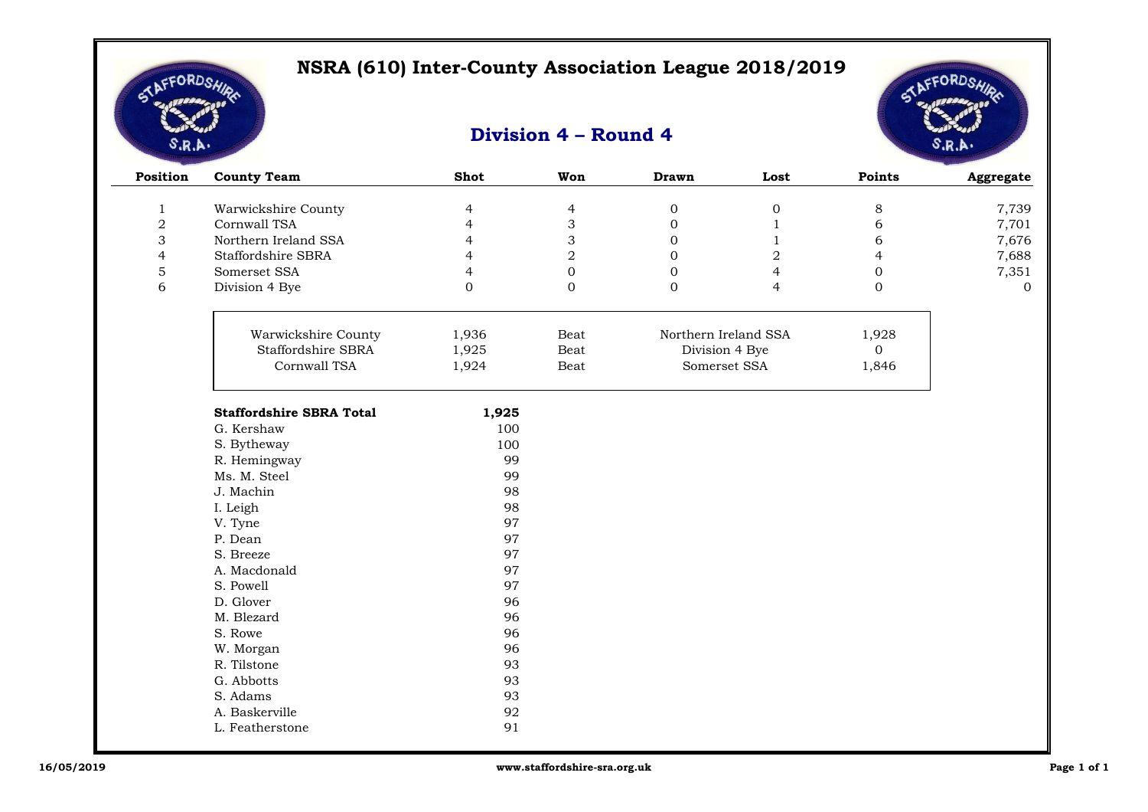

 $\overline{\phantom{a}}$ 

# AFFORDSA

| Position       | <b>County Team</b>              | <b>Shot</b>    | Won                       | <b>Drawn</b>     | Lost                 | Points           | Aggregate |
|----------------|---------------------------------|----------------|---------------------------|------------------|----------------------|------------------|-----------|
| $\mathbf{1}$   | Warwickshire County             | 4              | $\overline{4}$            | $\boldsymbol{0}$ | $\boldsymbol{0}$     | $\,8\,$          | 7,739     |
| $\overline{2}$ | Cornwall TSA                    | $\overline{4}$ | $\ensuremath{\mathsf{3}}$ | $\mathbf{0}$     | $\mathbf{1}$         | 6                | 7,701     |
| 3              | Northern Ireland SSA            | 4              | 3                         | $\overline{0}$   | 1                    | 6                | 7,676     |
| $\overline{4}$ | Staffordshire SBRA              | 4              | $\overline{2}$            | 0                | $\,2$                | 4                | 7,688     |
| 5              | Somerset SSA                    | 4              | $\mathbf{0}$              | $\overline{0}$   | 4                    | $\boldsymbol{0}$ | 7,351     |
| 6              | Division 4 Bye                  | $\overline{0}$ | $\mathbf{0}$              | $\overline{0}$   | 4                    | $\mathbf{0}$     | $\Omega$  |
|                |                                 |                |                           |                  |                      |                  |           |
|                | Warwickshire County             | 1,936          | Beat                      |                  | Northern Ireland SSA | 1,928            |           |
|                | Staffordshire SBRA              | 1,925          | Beat                      | Division 4 Bye   |                      | $\overline{0}$   |           |
|                | Cornwall TSA                    | 1,924          | Beat                      |                  | Somerset SSA         | 1,846            |           |
|                | <b>Staffordshire SBRA Total</b> | 1,925          |                           |                  |                      |                  |           |
|                | G. Kershaw                      | 100            |                           |                  |                      |                  |           |
|                | S. Bytheway                     | 100            |                           |                  |                      |                  |           |
|                | R. Hemingway                    | 99             |                           |                  |                      |                  |           |
|                | Ms. M. Steel                    | 99             |                           |                  |                      |                  |           |
|                | J. Machin                       | 98             |                           |                  |                      |                  |           |
|                | I. Leigh                        | 98             |                           |                  |                      |                  |           |
|                | V. Tyne                         | 97             |                           |                  |                      |                  |           |
|                | P. Dean                         | 97             |                           |                  |                      |                  |           |
|                | S. Breeze                       | 97             |                           |                  |                      |                  |           |
|                | A. Macdonald                    | 97             |                           |                  |                      |                  |           |
|                | S. Powell                       | 97             |                           |                  |                      |                  |           |
|                | D. Glover                       | 96             |                           |                  |                      |                  |           |
|                | M. Blezard                      | 96             |                           |                  |                      |                  |           |
|                | S. Rowe                         | 96             |                           |                  |                      |                  |           |
|                | W. Morgan                       | 96             |                           |                  |                      |                  |           |
|                | R. Tilstone                     | 93             |                           |                  |                      |                  |           |
|                | G. Abbotts                      | 93             |                           |                  |                      |                  |           |
|                | S. Adams                        | 93             |                           |                  |                      |                  |           |
|                | A. Baskerville                  | 92             |                           |                  |                      |                  |           |
|                | L. Featherstone                 | 91             |                           |                  |                      |                  |           |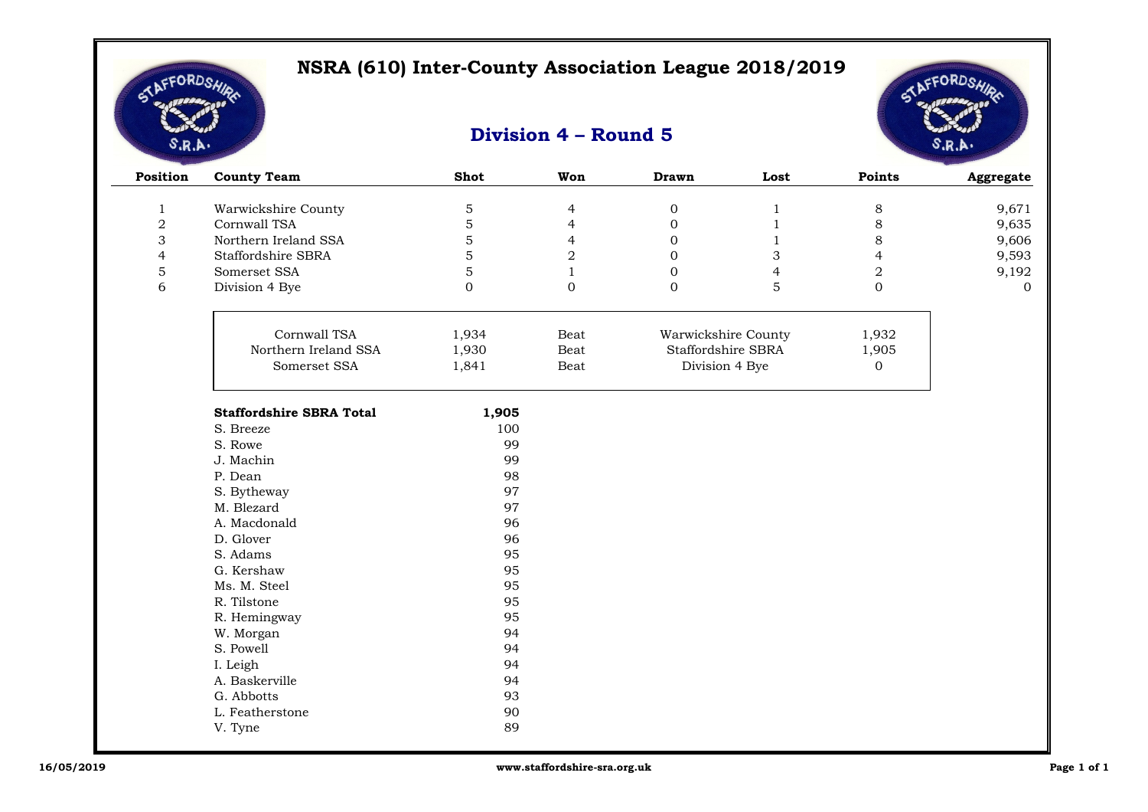

# AFFORDSA

| Position       | <b>County Team</b>              | <b>Shot</b>   | Won            | <b>Drawn</b>     | Lost                | Points           | Aggregate |
|----------------|---------------------------------|---------------|----------------|------------------|---------------------|------------------|-----------|
| $\mathbf{1}$   | Warwickshire County             | $\mathbf 5$   | $\overline{4}$ | $\boldsymbol{0}$ | $\mathbf{1}$        | $\,8\,$          | 9,671     |
| $\overline{2}$ | Cornwall TSA                    | 5             | $\overline{4}$ | $\overline{0}$   | $\mathbf{1}$        | 8                | 9,635     |
| 3              | Northern Ireland SSA            | 5             | 4              | $\boldsymbol{0}$ | 1                   | 8                | 9,606     |
| $\overline{4}$ | Staffordshire SBRA              | 5             | $\sqrt{2}$     | $\mathbf{0}$     | 3                   | $\overline{4}$   | 9,593     |
| $\mathbf 5$    | Somerset SSA                    | 5             | 1              | $\overline{0}$   | 4                   | $\boldsymbol{2}$ | 9,192     |
| 6              | Division 4 Bye                  | $\mathbf{0}$  | $\overline{0}$ | $\mathbf{0}$     | 5                   | $\mathbf 0$      | $\Omega$  |
|                | Cornwall TSA                    | 1,934<br>Beat |                |                  | Warwickshire County | 1,932            |           |
|                | Northern Ireland SSA            | 1,930         | Beat           |                  | Staffordshire SBRA  | 1,905            |           |
|                | Somerset SSA                    | 1,841         | Beat           |                  | Division 4 Bye      | 0                |           |
|                | <b>Staffordshire SBRA Total</b> | 1,905         |                |                  |                     |                  |           |
|                | S. Breeze                       | 100           |                |                  |                     |                  |           |
|                | S. Rowe                         | 99            |                |                  |                     |                  |           |
|                | J. Machin                       | 99            |                |                  |                     |                  |           |
|                | P. Dean                         | 98            |                |                  |                     |                  |           |
|                | S. Bytheway                     | 97            |                |                  |                     |                  |           |
|                | M. Blezard                      | 97            |                |                  |                     |                  |           |
|                | A. Macdonald                    | 96            |                |                  |                     |                  |           |
|                | D. Glover                       | 96            |                |                  |                     |                  |           |
|                | S. Adams                        | 95            |                |                  |                     |                  |           |
|                | G. Kershaw                      | 95            |                |                  |                     |                  |           |
|                | Ms. M. Steel                    | 95            |                |                  |                     |                  |           |
|                | R. Tilstone                     | 95            |                |                  |                     |                  |           |
|                | R. Hemingway                    | 95            |                |                  |                     |                  |           |
|                | W. Morgan                       | 94            |                |                  |                     |                  |           |
|                | S. Powell                       | 94            |                |                  |                     |                  |           |
|                | I. Leigh                        | 94            |                |                  |                     |                  |           |
|                | A. Baskerville                  | 94            |                |                  |                     |                  |           |
|                | G. Abbotts                      | 93            |                |                  |                     |                  |           |
|                | L. Featherstone                 | 90            |                |                  |                     |                  |           |
|                | V. Tyne                         | 89            |                |                  |                     |                  |           |